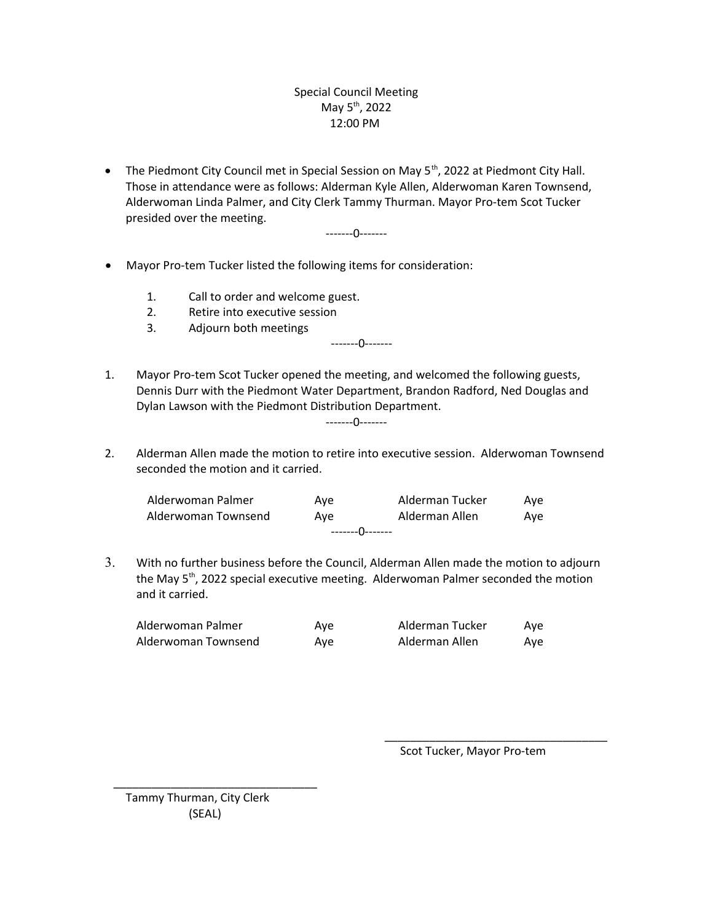## Special Council Meeting May  $5^{th}$ , 2022 12:00 PM

• The Piedmont City Council met in Special Session on May 5<sup>th</sup>, 2022 at Piedmont City Hall. Those in attendance were as follows: Alderman Kyle Allen, Alderwoman Karen Townsend, Alderwoman Linda Palmer, and City Clerk Tammy Thurman. Mayor Pro-tem Scot Tucker presided over the meeting.

-------0-------

- Mayor Pro-tem Tucker listed the following items for consideration:
	- 1. Call to order and welcome guest.
	- 2. Retire into executive session
	- 3. Adjourn both meetings

-------0-------

- 1. Mayor Pro-tem Scot Tucker opened the meeting, and welcomed the following guests, Dennis Durr with the Piedmont Water Department, Brandon Radford, Ned Douglas and Dylan Lawson with the Piedmont Distribution Department. -------0-------
	-
- 2. Alderman Allen made the motion to retire into executive session. Alderwoman Townsend seconded the motion and it carried.

| --------()-------   |     |                 |     |  |
|---------------------|-----|-----------------|-----|--|
| Alderwoman Townsend | Ave | Alderman Allen  | Ave |  |
| Alderwoman Palmer   | Ave | Alderman Tucker | Ave |  |

3. With no further business before the Council, Alderman Allen made the motion to adjourn the May 5<sup>th</sup>, 2022 special executive meeting. Alderwoman Palmer seconded the motion and it carried.

| Alderwoman Palmer   | Ave | Alderman Tucker | Ave |
|---------------------|-----|-----------------|-----|
| Alderwoman Townsend | Ave | Alderman Allen  | Ave |

Scot Tucker, Mayor Pro-tem

\_\_\_\_\_\_\_\_\_\_\_\_\_\_\_\_\_\_\_\_\_\_\_\_\_\_\_\_\_\_\_\_\_\_\_

Tammy Thurman, City Clerk (SEAL)

\_\_\_\_\_\_\_\_\_\_\_\_\_\_\_\_\_\_\_\_\_\_\_\_\_\_\_\_\_\_\_\_